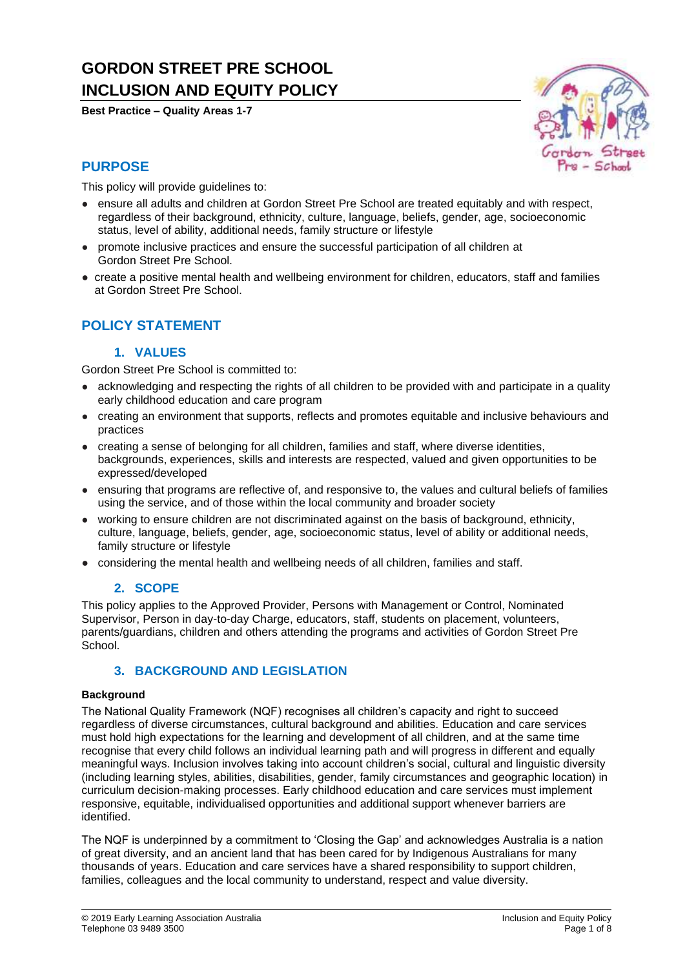# **GORDON STREET PRE SCHOOL INCLUSION AND EQUITY POLICY**

**Best Practice – Quality Areas 1-7**



### **PURPOSE**

This policy will provide guidelines to:

- ensure all adults and children at Gordon Street Pre School are treated equitably and with respect, regardless of their background, ethnicity, culture, language, beliefs, gender, age, socioeconomic status, level of ability, additional needs, family structure or lifestyle
- promote inclusive practices and ensure the successful participation of all children at Gordon Street Pre School.
- create a positive mental health and wellbeing environment for children, educators, staff and families at Gordon Street Pre School.

## **POLICY STATEMENT**

#### **1. VALUES**

Gordon Street Pre School is committed to:

- acknowledging and respecting the rights of all children to be provided with and participate in a quality early childhood education and care program
- creating an environment that supports, reflects and promotes equitable and inclusive behaviours and practices
- creating a sense of belonging for all children, families and staff, where diverse identities, backgrounds, experiences, skills and interests are respected, valued and given opportunities to be expressed/developed
- ensuring that programs are reflective of, and responsive to, the values and cultural beliefs of families using the service, and of those within the local community and broader society
- working to ensure children are not discriminated against on the basis of background, ethnicity, culture, language, beliefs, gender, age, socioeconomic status, level of ability or additional needs, family structure or lifestyle
- considering the mental health and wellbeing needs of all children, families and staff.

### **2. SCOPE**

This policy applies to the Approved Provider, Persons with Management or Control, Nominated Supervisor, Person in day-to-day Charge, educators, staff, students on placement, volunteers, parents/guardians, children and others attending the programs and activities of Gordon Street Pre School.

### **3. BACKGROUND AND LEGISLATION**

#### **Background**

The National Quality Framework (NQF) recognises all children's capacity and right to succeed regardless of diverse circumstances, cultural background and abilities. Education and care services must hold high expectations for the learning and development of all children, and at the same time recognise that every child follows an individual learning path and will progress in different and equally meaningful ways. Inclusion involves taking into account children's social, cultural and linguistic diversity (including learning styles, abilities, disabilities, gender, family circumstances and geographic location) in curriculum decision-making processes. Early childhood education and care services must implement responsive, equitable, individualised opportunities and additional support whenever barriers are identified.

The NQF is underpinned by a commitment to 'Closing the Gap' and acknowledges Australia is a nation of great diversity, and an ancient land that has been cared for by Indigenous Australians for many thousands of years. Education and care services have a shared responsibility to support children, families, colleagues and the local community to understand, respect and value diversity.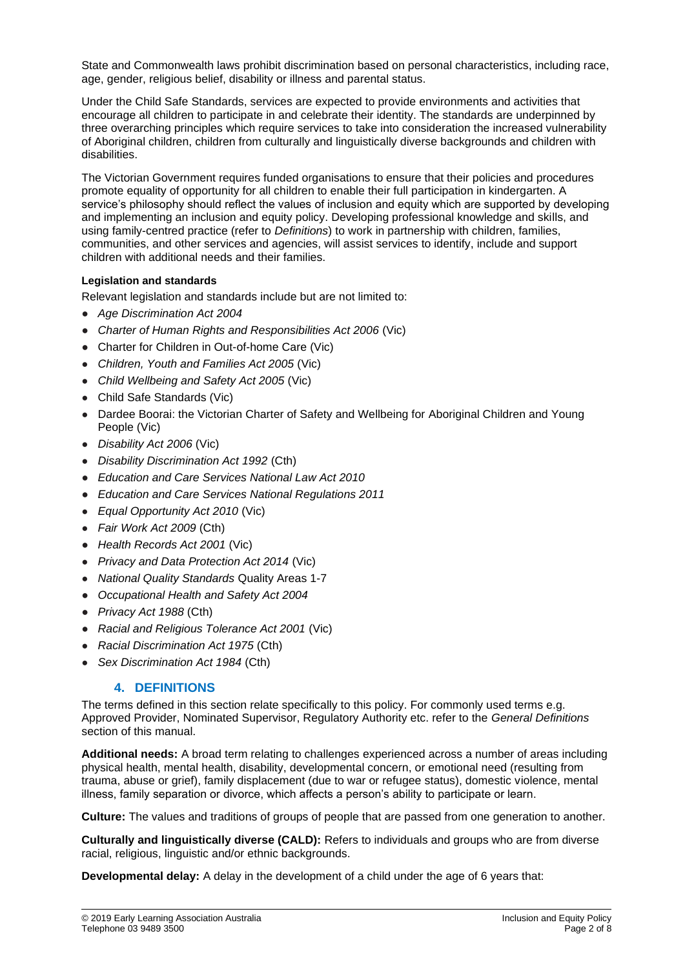State and Commonwealth laws prohibit discrimination based on personal characteristics, including race, age, gender, religious belief, disability or illness and parental status.

Under the Child Safe Standards, services are expected to provide environments and activities that encourage all children to participate in and celebrate their identity. The standards are underpinned by three overarching principles which require services to take into consideration the increased vulnerability of Aboriginal children, children from culturally and linguistically diverse backgrounds and children with disabilities.

The Victorian Government requires funded organisations to ensure that their policies and procedures promote equality of opportunity for all children to enable their full participation in kindergarten. A service's philosophy should reflect the values of inclusion and equity which are supported by developing and implementing an inclusion and equity policy. Developing professional knowledge and skills, and using family-centred practice (refer to *Definitions*) to work in partnership with children, families, communities, and other services and agencies, will assist services to identify, include and support children with additional needs and their families.

#### **Legislation and standards**

Relevant legislation and standards include but are not limited to:

- *Age Discrimination Act 2004*
- *[Charter of Human Rights and Responsibilities Act 2006](http://www.legislation.vic.gov.au/Domino/Web_Notes/LDMS/PubStatbook.nsf/f932b66241ecf1b7ca256e92000e23be/54d73763ef9dca36ca2571b6002428b0!OpenDocument)* [\(Vic\)](http://www.legislation.vic.gov.au/Domino/Web_Notes/LDMS/PubStatbook.nsf/f932b66241ecf1b7ca256e92000e23be/54d73763ef9dca36ca2571b6002428b0!OpenDocument)
- Charter for Children in Out-of-home Care (Vic)
- *Children, Youth and Families Act 2005* (Vic)
- *Child Wellbeing and Safety Act 2005* (Vic)
- Child Safe Standards (Vic)
- Dardee Boorai: the Victorian Charter of Safety and Wellbeing for Aboriginal Children and Young People (Vic)
- *Disability Act 2006* (Vic)
- *Disability Discrimination Act 1992* (Cth)
- *Education and Care Services National Law Act 2010*
- *Education and Care Services National Regulations 2011*
- *Equal Opportunity Act 2010* (Vic)
- *Fair Work Act 2009* (Cth)
- *Health Records Act 2001* (Vic)
- *Privacy and Data Protection Act 2014* (Vic)
- *National Quality Standards* Quality Areas 1-7
- *Occupational Health and Safety Act 2004*
- *Privacy Act 1988* (Cth)
- *Racial and Religious Tolerance Act 2001* (Vic)
- *Racial Discrimination Act 1975* (Cth)
- *Sex Discrimination Act 1984* (Cth)

### **4. DEFINITIONS**

The terms defined in this section relate specifically to this policy. For commonly used terms e.g. Approved Provider, Nominated Supervisor, Regulatory Authority etc. refer to the *General Definitions* section of this manual.

**Additional needs:** A broad term relating to challenges experienced across a number of areas including physical health, mental health, disability, developmental concern, or emotional need (resulting from trauma, abuse or grief), family displacement (due to war or refugee status), domestic violence, mental illness, family separation or divorce, which affects a person's ability to participate or learn.

**Culture:** The values and traditions of groups of people that are passed from one generation to another.

**Culturally and linguistically diverse (CALD):** Refers to individuals and groups who are from diverse racial, religious, linguistic and/or ethnic backgrounds.

**Developmental delay:** A delay in the development of a child under the age of 6 years that: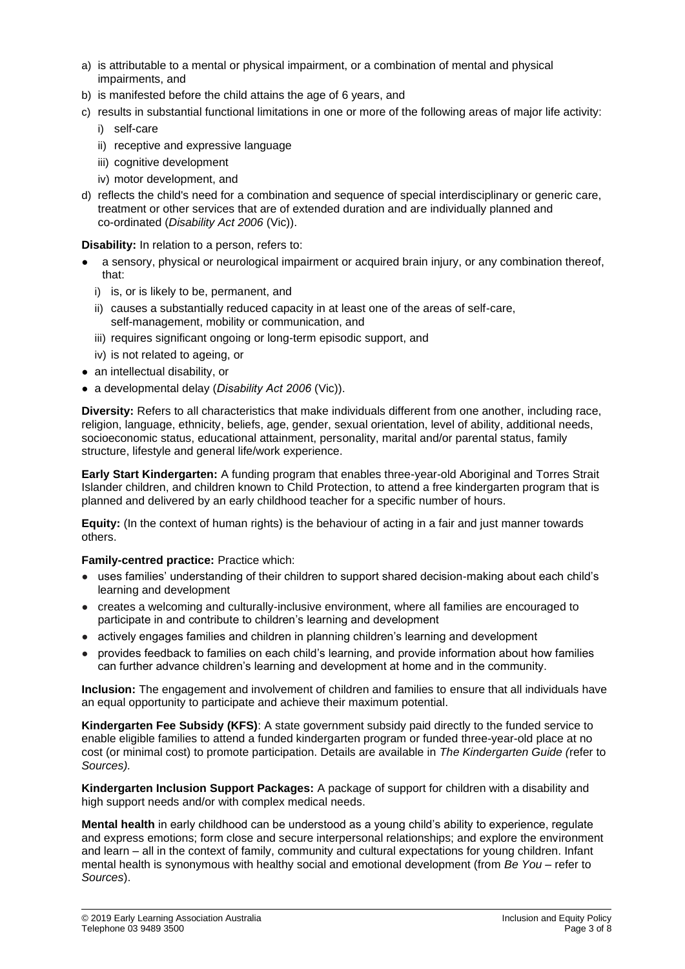- a) is attributable to a mental or physical impairment, or a combination of mental and physical impairments, and
- b) is manifested before the child attains the age of 6 years, and
- c) results in substantial functional limitations in one or more of the following areas of major life activity:
	- i) self-care
	- ii) receptive and expressive language
	- iii) cognitive development
	- iv) motor development, and
- d) reflects the child's need for a combination and sequence of special interdisciplinary or generic care, treatment or other services that are of extended duration and are individually planned and co-ordinated (*Disability Act 2006* (Vic)).

**Disability:** In relation to a person, refers to:

- a sensory, physical or neurological impairment or acquired brain injury, or any combination thereof, that:
	- i) is, or is likely to be, permanent, and
	- ii) causes a substantially reduced capacity in at least one of the areas of self-care, self-management, mobility or communication, and
	- iii) requires significant ongoing or long-term episodic support, and
	- iv) is not related to ageing, or
- an intellectual disability, or
- a developmental delay (*Disability Act 2006* (Vic)).

**Diversity:** Refers to all characteristics that make individuals different from one another, including race, religion, language, ethnicity, beliefs, age, gender, sexual orientation, level of ability, additional needs, socioeconomic status, educational attainment, personality, marital and/or parental status, family structure, lifestyle and general life/work experience.

**Early Start Kindergarten:** A funding program that enables three-year-old Aboriginal and Torres Strait Islander children, and children known to Child Protection, to attend a free kindergarten program that is planned and delivered by an early childhood teacher for a specific number of hours.

**Equity:** (In the context of human rights) is the behaviour of acting in a fair and just manner towards others.

**Family-centred practice:** Practice which:

- uses families' understanding of their children to support shared decision-making about each child's learning and development
- creates a welcoming and culturally-inclusive environment, where all families are encouraged to participate in and contribute to children's learning and development
- actively engages families and children in planning children's learning and development
- provides feedback to families on each child's learning, and provide information about how families can further advance children's learning and development at home and in the community.

**Inclusion:** The engagement and involvement of children and families to ensure that all individuals have an equal opportunity to participate and achieve their maximum potential.

**Kindergarten Fee Subsidy (KFS)**: A state government subsidy paid directly to the funded service to enable eligible families to attend a funded kindergarten program or funded three-year-old place at no cost (or minimal cost) to promote participation. Details are available in *The Kindergarten Guide (*refer to *Sources).*

**Kindergarten Inclusion Support Packages:** A package of support for children with a disability and high support needs and/or with complex medical needs.

**Mental health** in early childhood can be understood as a young child's ability to experience, regulate and express emotions; form close and secure interpersonal relationships; and explore the environment and learn – all in the context of family, community and cultural expectations for young children. Infant mental health is synonymous with healthy social and emotional development (from *Be You –* refer to *Sources*).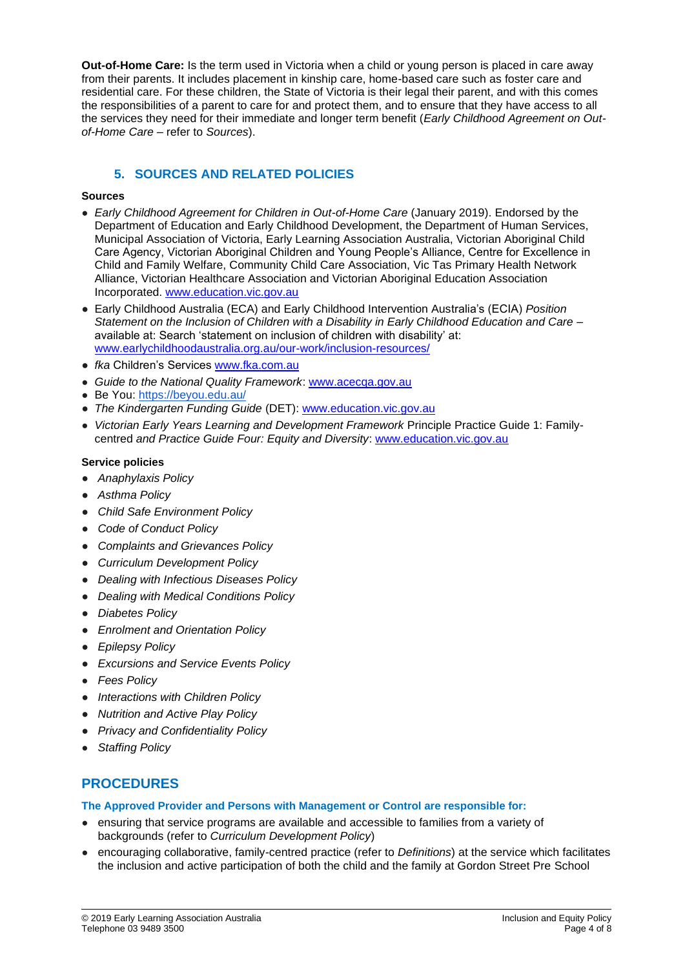**Out-of-Home Care:** Is the term used in Victoria when a child or young person is placed in care away from their parents. It includes placement in kinship care, home-based care such as foster care and residential care. For these children, the State of Victoria is their legal their parent, and with this comes the responsibilities of a parent to care for and protect them, and to ensure that they have access to all the services they need for their immediate and longer term benefit (*Early Childhood Agreement on Outof-Home Care* – refer to *Sources*).

### **5. SOURCES AND RELATED POLICIES**

#### **Sources**

- *Early Childhood Agreement for Children in Out-of-Home Care* (January 2019). Endorsed by the Department of Education and Early Childhood Development, the Department of Human Services, Municipal Association of Victoria, Early Learning Association Australia, Victorian Aboriginal Child Care Agency, Victorian Aboriginal Children and Young People's Alliance, Centre for Excellence in Child and Family Welfare, Community Child Care Association, Vic Tas Primary Health Network Alliance, Victorian Healthcare Association and Victorian Aboriginal Education Association Incorporated. [www.education.vic.gov.au](http://www.education.vic.gov.au/)
- Early Childhood Australia (ECA) and Early Childhood Intervention Australia's (ECIA) *Position Statement on the Inclusion of Children with a Disability in Early Childhood Education and Care –* available at: Search 'statement on inclusion of children with disability' at: [www.earlychildhoodaustralia.org.au/our-work/inclusion-resources/](http://www.earlychildhoodaustralia.org.au/our-work/inclusion-resources/)
- *fka* Children's Services [www.fka.com.au](http://www.fka.com.au/)
- *Guide to the National Quality Framework*: [www.acecqa.gov.au](https://www.acecqa.gov.au/)
- Be You: <https://beyou.edu.au/>
- *The Kindergarten Funding Guide* (DET): [www.education.vic.gov.au](http://www.education.vic.gov.au/Pages/default.aspx)
- *Victorian Early Years Learning and Development Framework* Principle Practice Guide 1: Familycentred *and Practice Guide Four: Equity and Diversity*: [www.education.vic.gov.au](http://www.education.vic.gov.au/Pages/default.aspx)

#### **Service policies**

- *Anaphylaxis Policy*
- *Asthma Policy*
- *Child Safe Environment Policy*
- *Code of Conduct Policy*
- *Complaints and Grievances Policy*
- *Curriculum Development Policy*
- *Dealing with Infectious Diseases Policy*
- *Dealing with Medical Conditions Policy*
- *Diabetes Policy*
- *Enrolment and Orientation Policy*
- *Epilepsy Policy*
- *Excursions and Service Events Policy*
- *Fees Policy*
- *Interactions with Children Policy*
- *Nutrition and Active Play Policy*
- *Privacy and Confidentiality Policy*
- *Staffing Policy*

### **PROCEDURES**

**The Approved Provider and Persons with Management or Control are responsible for:**

- ensuring that service programs are available and accessible to families from a variety of backgrounds (refer to *Curriculum Development Policy*)
- encouraging collaborative, family-centred practice (refer to *Definitions*) at the service which facilitates the inclusion and active participation of both the child and the family at Gordon Street Pre School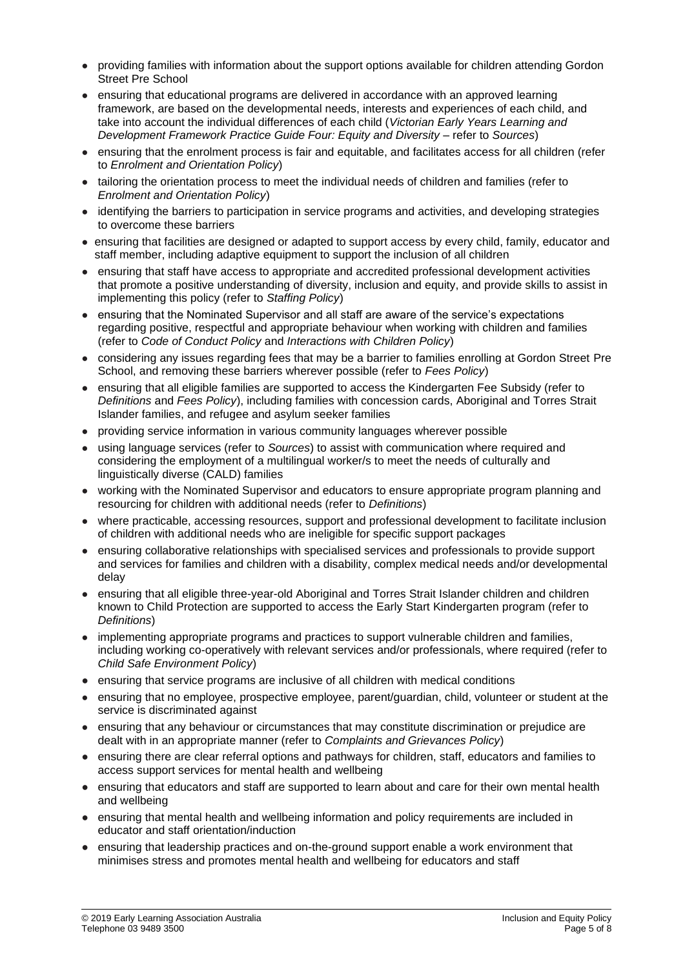- providing families with information about the support options available for children attending Gordon Street Pre School
- ensuring that educational programs are delivered in accordance with an approved learning framework, are based on the developmental needs, interests and experiences of each child, and take into account the individual differences of each child (*Victorian Early Years Learning and Development Framework Practice Guide Four: Equity and Diversity* – refer to *Sources*)
- ensuring that the enrolment process is fair and equitable, and facilitates access for all children (refer to *Enrolment and Orientation Policy*)
- tailoring the orientation process to meet the individual needs of children and families (refer to *Enrolment and Orientation Policy*)
- identifying the barriers to participation in service programs and activities, and developing strategies to overcome these barriers
- ensuring that facilities are designed or adapted to support access by every child, family, educator and staff member, including adaptive equipment to support the inclusion of all children
- ensuring that staff have access to appropriate and accredited professional development activities that promote a positive understanding of diversity, inclusion and equity, and provide skills to assist in implementing this policy (refer to *Staffing Policy*)
- ensuring that the Nominated Supervisor and all staff are aware of the service's expectations regarding positive, respectful and appropriate behaviour when working with children and families (refer to *Code of Conduct Policy* and *Interactions with Children Policy*)
- considering any issues regarding fees that may be a barrier to families enrolling at Gordon Street Pre School, and removing these barriers wherever possible (refer to *Fees Policy*)
- ensuring that all eligible families are supported to access the Kindergarten Fee Subsidy (refer to *Definitions* and *Fees Policy*), including families with concession cards, Aboriginal and Torres Strait Islander families, and refugee and asylum seeker families
- providing service information in various community languages wherever possible
- using language services (refer to *Sources*) to assist with communication where required and considering the employment of a multilingual worker/s to meet the needs of culturally and linguistically diverse (CALD) families
- working with the Nominated Supervisor and educators to ensure appropriate program planning and resourcing for children with additional needs (refer to *Definitions*)
- where practicable, accessing resources, support and professional development to facilitate inclusion of children with additional needs who are ineligible for specific support packages
- ensuring collaborative relationships with specialised services and professionals to provide support and services for families and children with a disability, complex medical needs and/or developmental delay
- ensuring that all eligible three-year-old Aboriginal and Torres Strait Islander children and children known to Child Protection are supported to access the Early Start Kindergarten program (refer to *Definitions*)
- implementing appropriate programs and practices to support vulnerable children and families, including working co-operatively with relevant services and/or professionals, where required (refer to *Child Safe Environment Policy*)
- ensuring that service programs are inclusive of all children with medical conditions
- ensuring that no employee, prospective employee, parent/guardian, child, volunteer or student at the service is discriminated against
- ensuring that any behaviour or circumstances that may constitute discrimination or prejudice are dealt with in an appropriate manner (refer to *Complaints and Grievances Policy*)
- ensuring there are clear referral options and pathways for children, staff, educators and families to access support services for mental health and wellbeing
- ensuring that educators and staff are supported to learn about and care for their own mental health and wellbeing
- ensuring that mental health and wellbeing information and policy requirements are included in educator and staff orientation/induction
- ensuring that leadership practices and on-the-ground support enable a work environment that minimises stress and promotes mental health and wellbeing for educators and staff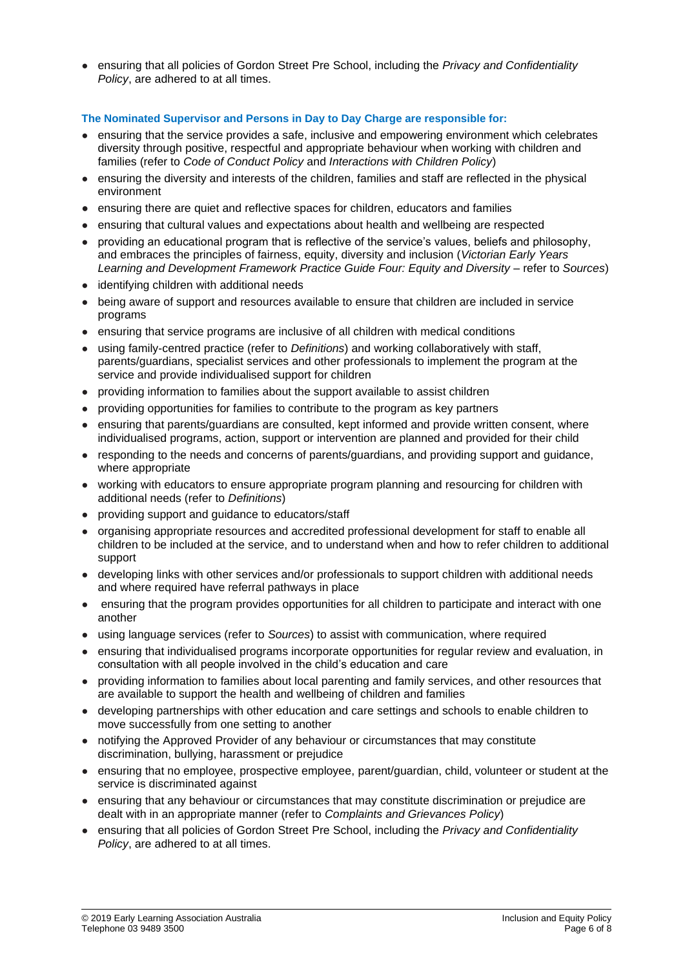● ensuring that all policies of Gordon Street Pre School, including the *Privacy and Confidentiality Policy*, are adhered to at all times.

#### **The Nominated Supervisor and Persons in Day to Day Charge are responsible for:**

- ensuring that the service provides a safe, inclusive and empowering environment which celebrates diversity through positive, respectful and appropriate behaviour when working with children and families (refer to *Code of Conduct Policy* and *Interactions with Children Policy*)
- ensuring the diversity and interests of the children, families and staff are reflected in the physical environment
- ensuring there are quiet and reflective spaces for children, educators and families
- ensuring that cultural values and expectations about health and wellbeing are respected
- providing an educational program that is reflective of the service's values, beliefs and philosophy, and embraces the principles of fairness, equity, diversity and inclusion (*Victorian Early Years Learning and Development Framework Practice Guide Four: Equity and Diversity* – refer to *Sources*)
- identifying children with additional needs
- being aware of support and resources available to ensure that children are included in service programs
- ensuring that service programs are inclusive of all children with medical conditions
- using family-centred practice (refer to *Definitions*) and working collaboratively with staff, parents/guardians, specialist services and other professionals to implement the program at the service and provide individualised support for children
- providing information to families about the support available to assist children
- providing opportunities for families to contribute to the program as key partners
- ensuring that parents/guardians are consulted, kept informed and provide written consent, where individualised programs, action, support or intervention are planned and provided for their child
- responding to the needs and concerns of parents/guardians, and providing support and guidance, where appropriate
- working with educators to ensure appropriate program planning and resourcing for children with additional needs (refer to *Definitions*)
- providing support and guidance to educators/staff
- organising appropriate resources and accredited professional development for staff to enable all children to be included at the service, and to understand when and how to refer children to additional support
- developing links with other services and/or professionals to support children with additional needs and where required have referral pathways in place
- ensuring that the program provides opportunities for all children to participate and interact with one another
- using language services (refer to *Sources*) to assist with communication, where required
- ensuring that individualised programs incorporate opportunities for regular review and evaluation, in consultation with all people involved in the child's education and care
- providing information to families about local parenting and family services, and other resources that are available to support the health and wellbeing of children and families
- developing partnerships with other education and care settings and schools to enable children to move successfully from one setting to another
- notifying the Approved Provider of any behaviour or circumstances that may constitute discrimination, bullying, harassment or prejudice
- ensuring that no employee, prospective employee, parent/guardian, child, volunteer or student at the service is discriminated against
- ensuring that any behaviour or circumstances that may constitute discrimination or prejudice are dealt with in an appropriate manner (refer to *Complaints and Grievances Policy*)
- ensuring that all policies of Gordon Street Pre School, including the *Privacy and Confidentiality Policy*, are adhered to at all times.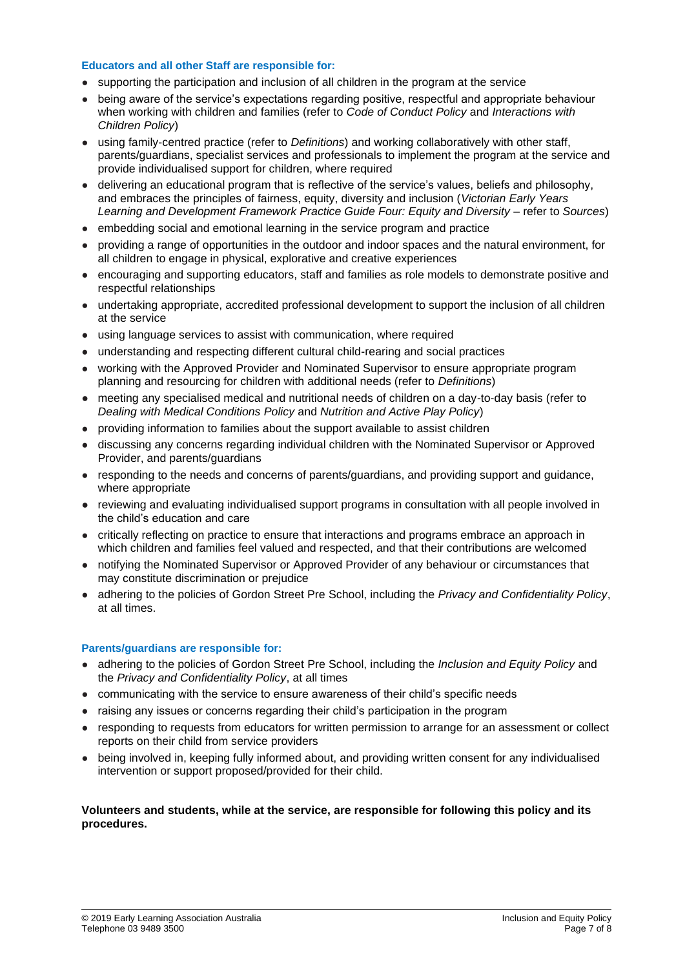#### **Educators and all other Staff are responsible for:**

- supporting the participation and inclusion of all children in the program at the service
- being aware of the service's expectations regarding positive, respectful and appropriate behaviour when working with children and families (refer to *Code of Conduct Policy* and *Interactions with Children Policy*)
- using family-centred practice (refer to *Definitions*) and working collaboratively with other staff, parents/guardians, specialist services and professionals to implement the program at the service and provide individualised support for children, where required
- delivering an educational program that is reflective of the service's values, beliefs and philosophy, and embraces the principles of fairness, equity, diversity and inclusion (*Victorian Early Years Learning and Development Framework Practice Guide Four: Equity and Diversity* – refer to *Sources*)
- embedding social and emotional learning in the service program and practice
- providing a range of opportunities in the outdoor and indoor spaces and the natural environment, for all children to engage in physical, explorative and creative experiences
- encouraging and supporting educators, staff and families as role models to demonstrate positive and respectful relationships
- undertaking appropriate, accredited professional development to support the inclusion of all children at the service
- using language services to assist with communication, where required
- understanding and respecting different cultural child-rearing and social practices
- working with the Approved Provider and Nominated Supervisor to ensure appropriate program planning and resourcing for children with additional needs (refer to *Definitions*)
- meeting any specialised medical and nutritional needs of children on a day-to-day basis (refer to *Dealing with Medical Conditions Policy* and *Nutrition and Active Play Policy*)
- providing information to families about the support available to assist children
- discussing any concerns regarding individual children with the Nominated Supervisor or Approved Provider, and parents/guardians
- responding to the needs and concerns of parents/guardians, and providing support and guidance, where appropriate
- reviewing and evaluating individualised support programs in consultation with all people involved in the child's education and care
- critically reflecting on practice to ensure that interactions and programs embrace an approach in which children and families feel valued and respected, and that their contributions are welcomed
- notifying the Nominated Supervisor or Approved Provider of any behaviour or circumstances that may constitute discrimination or prejudice
- adhering to the policies of Gordon Street Pre School, including the *Privacy and Confidentiality Policy*, at all times.

#### **Parents/guardians are responsible for:**

- adhering to the policies of Gordon Street Pre School, including the *Inclusion and Equity Policy* and the *Privacy and Confidentiality Policy*, at all times
- communicating with the service to ensure awareness of their child's specific needs
- raising any issues or concerns regarding their child's participation in the program
- responding to requests from educators for written permission to arrange for an assessment or collect reports on their child from service providers
- being involved in, keeping fully informed about, and providing written consent for any individualised intervention or support proposed/provided for their child.

#### **Volunteers and students, while at the service, are responsible for following this policy and its procedures.**